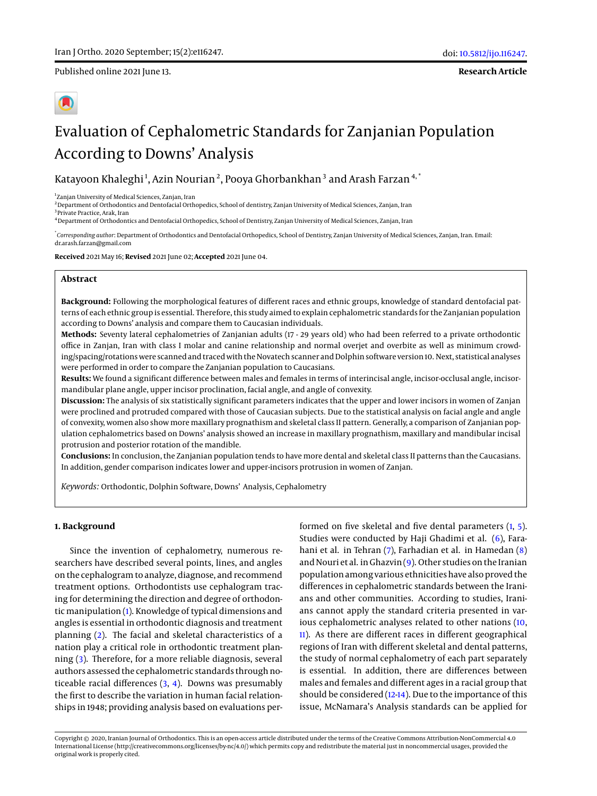Published online 2021 June 13.

**Research Article**

# Evaluation of Cephalometric Standards for Zanjanian Population According to Downs' Analysis

Katayoon Khaleghi<sup>1</sup>, Azin Nourian<sup>2</sup>, Pooya Ghorbankhan<sup>3</sup> and Arash Farzan<sup>4,</sup>  $^{\ast}$ 

1 Zanjan University of Medical Sciences, Zanjan, Iran

<sup>2</sup> Department of Orthodontics and Dentofacial Orthopedics, School of dentistry, Zanjan University of Medical Sciences, Zanjan, Iran

3 Private Practice, Arak, Iran <sup>4</sup>Department of Orthodontics and Dentofacial Orthopedics, School of Dentistry, Zanjan University of Medical Sciences, Zanjan, Iran

\* *Corresponding author*: Department of Orthodontics and Dentofacial Orthopedics, School of Dentistry, Zanjan University of Medical Sciences, Zanjan, Iran. Email: dr.arash.farzan@gmail.com

**Received** 2021 May 16; **Revised** 2021 June 02; **Accepted** 2021 June 04.

# **Abstract**

**Background:** Following the morphological features of different races and ethnic groups, knowledge of standard dentofacial patterns of each ethnic group is essential. Therefore, this study aimed to explain cephalometric standards for the Zanjanian population according to Downs' analysis and compare them to Caucasian individuals.

**Methods:** Seventy lateral cephalometries of Zanjanian adults (17 - 29 years old) who had been referred to a private orthodontic office in Zanjan, Iran with class I molar and canine relationship and normal overjet and overbite as well as minimum crowding/spacing/rotations were scanned and traced with the Novatech scanner and Dolphin software version 10. Next, statistical analyses were performed in order to compare the Zanjanian population to Caucasians.

**Results:** We found a significant difference between males and females in terms of interincisal angle, incisor-occlusal angle, incisormandibular plane angle, upper incisor proclination, facial angle, and angle of convexity.

**Discussion:** The analysis of six statistically significant parameters indicates that the upper and lower incisors in women of Zanjan were proclined and protruded compared with those of Caucasian subjects. Due to the statistical analysis on facial angle and angle of convexity, women also show more maxillary prognathism and skeletal class II pattern. Generally, a comparison of Zanjanian population cephalometrics based on Downs' analysis showed an increase in maxillary prognathism, maxillary and mandibular incisal protrusion and posterior rotation of the mandible.

**Conclusions:** In conclusion, the Zanjanian population tends to have more dental and skeletal class II patterns than the Caucasians. In addition, gender comparison indicates lower and upper-incisors protrusion in women of Zanjan.

*Keywords:* Orthodontic, Dolphin Software, Downs' Analysis, Cephalometry

# **1. Background**

Since the invention of cephalometry, numerous researchers have described several points, lines, and angles on the cephalogram to analyze, diagnose, and recommend treatment options. Orthodontists use cephalogram tracing for determining the direction and degree of orthodontic manipulation [\(1\)](#page-4-0). Knowledge of typical dimensions and angles is essential in orthodontic diagnosis and treatment planning [\(2\)](#page-4-1). The facial and skeletal characteristics of a nation play a critical role in orthodontic treatment planning [\(3\)](#page-4-2). Therefore, for a more reliable diagnosis, several authors assessed the cephalometric standards through noticeable racial differences  $(3, 4)$  $(3, 4)$  $(3, 4)$ . Downs was presumably the first to describe the variation in human facial relationships in 1948; providing analysis based on evaluations performed on five skeletal and five dental parameters [\(1,](#page-4-0) [5\)](#page-4-4). Studies were conducted by Haji Ghadimi et al. [\(6\)](#page-4-5), Farahani et al. in Tehran [\(7\)](#page-4-6), Farhadian et al. in Hamedan [\(8\)](#page-4-7) and Nouri et al. in Ghazvin  $(9)$ . Other studies on the Iranian population among various ethnicities have also proved the differences in cephalometric standards between the Iranians and other communities. According to studies, Iranians cannot apply the standard criteria presented in various cephalometric analyses related to other nations [\(10,](#page-4-9) [11\)](#page-4-10). As there are different races in different geographical regions of Iran with different skeletal and dental patterns, the study of normal cephalometry of each part separately is essential. In addition, there are differences between males and females and different ages in a racial group that should be considered [\(12-](#page-4-11)[14\)](#page-4-12). Due to the importance of this issue, McNamara's Analysis standards can be applied for

Copyright © 2020, Iranian Journal of Orthodontics. This is an open-access article distributed under the terms of the Creative Commons Attribution-NonCommercial 4.0 International License (http://creativecommons.org/licenses/by-nc/4.0/) which permits copy and redistribute the material just in noncommercial usages, provided the original work is properly cited.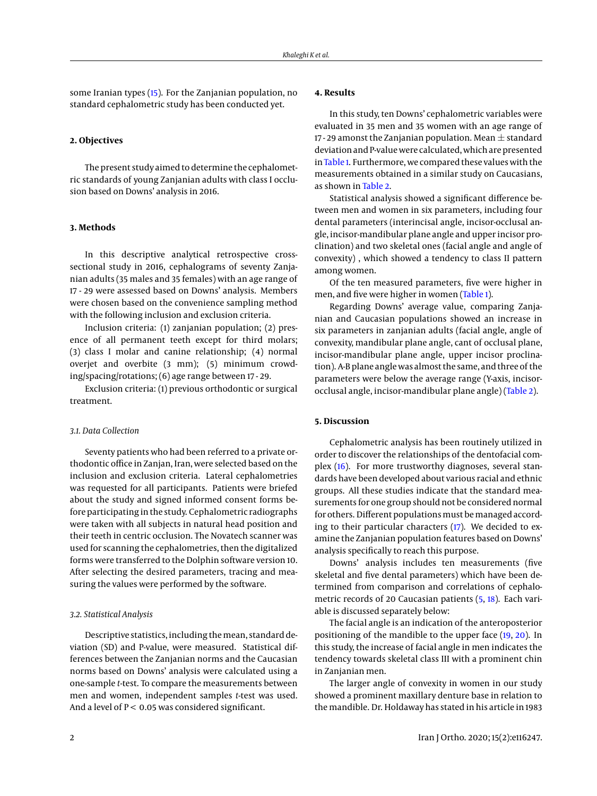some Iranian types [\(15\)](#page-4-13). For the Zanjanian population, no standard cephalometric study has been conducted yet.

#### **2. Objectives**

The present study aimed to determine the cephalometric standards of young Zanjanian adults with class I occlusion based on Downs' analysis in 2016.

#### **3. Methods**

In this descriptive analytical retrospective crosssectional study in 2016, cephalograms of seventy Zanjanian adults (35 males and 35 females) with an age range of 17 - 29 were assessed based on Downs' analysis. Members were chosen based on the convenience sampling method with the following inclusion and exclusion criteria.

Inclusion criteria: (1) zanjanian population; (2) presence of all permanent teeth except for third molars; (3) class I molar and canine relationship; (4) normal overjet and overbite (3 mm); (5) minimum crowding/spacing/rotations; (6) age range between 17 - 29.

Exclusion criteria: (1) previous orthodontic or surgical treatment.

# *3.1. Data Collection*

Seventy patients who had been referred to a private orthodontic office in Zanjan, Iran, were selected based on the inclusion and exclusion criteria. Lateral cephalometries was requested for all participants. Patients were briefed about the study and signed informed consent forms before participating in the study. Cephalometric radiographs were taken with all subjects in natural head position and their teeth in centric occlusion. The Novatech scanner was used for scanning the cephalometries, then the digitalized forms were transferred to the Dolphin software version 10. After selecting the desired parameters, tracing and measuring the values were performed by the software.

#### *3.2. Statistical Analysis*

Descriptive statistics, including themean, standard deviation (SD) and P-value, were measured. Statistical differences between the Zanjanian norms and the Caucasian norms based on Downs' analysis were calculated using a one-sample *t*-test. To compare the measurements between men and women, independent samples *t*-test was used. And a level of  $P < 0.05$  was considered significant.

# **4. Results**

In this study, ten Downs' cephalometric variables were evaluated in 35 men and 35 women with an age range of 17 - 29 amonst the Zanjanian population. Mean  $\pm$  standard deviation and P-value were calculated, which are presented in [Table 1.](#page-2-0) Furthermore, we compared these values with the measurements obtained in a similar study on Caucasians, as shown in [Table 2.](#page-3-0)

Statistical analysis showed a significant difference between men and women in six parameters, including four dental parameters (interincisal angle, incisor-occlusal angle, incisor-mandibular plane angle and upper incisor proclination) and two skeletal ones (facial angle and angle of convexity) , which showed a tendency to class II pattern among women.

Of the ten measured parameters, five were higher in men, and five were higher in women [\(Table 1\)](#page-2-0).

Regarding Downs' average value, comparing Zanjanian and Caucasian populations showed an increase in six parameters in zanjanian adults (facial angle, angle of convexity, mandibular plane angle, cant of occlusal plane, incisor-mandibular plane angle, upper incisor proclination). A-B plane angle was almost the same, and three of the parameters were below the average range (Y-axis, incisorocclusal angle, incisor-mandibular plane angle) [\(Table 2\)](#page-3-0).

# **5. Discussion**

Cephalometric analysis has been routinely utilized in order to discover the relationships of the dentofacial complex [\(16\)](#page-4-14). For more trustworthy diagnoses, several standards have been developed about various racial and ethnic groups. All these studies indicate that the standard measurements for one group should not be considered normal for others. Different populations must be managed according to their particular characters [\(17\)](#page-4-15). We decided to examine the Zanjanian population features based on Downs' analysis specifically to reach this purpose.

Downs' analysis includes ten measurements (five skeletal and five dental parameters) which have been determined from comparison and correlations of cephalometric records of 20 Caucasian patients [\(5,](#page-4-4) [18\)](#page-4-16). Each variable is discussed separately below:

The facial angle is an indication of the anteroposterior positioning of the mandible to the upper face [\(19,](#page-5-0) [20\)](#page-5-1). In this study, the increase of facial angle in men indicates the tendency towards skeletal class III with a prominent chin in Zanjanian men.

The larger angle of convexity in women in our study showed a prominent maxillary denture base in relation to the mandible. Dr. Holdaway has stated in his article in 1983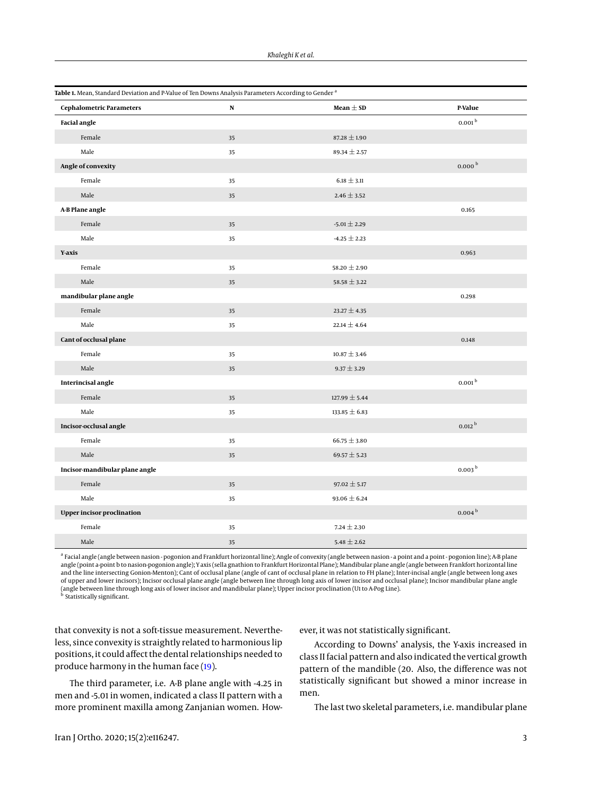<span id="page-2-0"></span>

| Table 1. Mean, Standard Deviation and P-Value of Ten Downs Analysis Parameters According to Gender <sup>a</sup> |           |                   |                        |
|-----------------------------------------------------------------------------------------------------------------|-----------|-------------------|------------------------|
| <b>Cephalometric Parameters</b>                                                                                 | ${\bf N}$ | Mean $\pm$ SD     | P-Value                |
| <b>Facial angle</b>                                                                                             |           |                   | $0.001^{\rm b}$        |
| Female                                                                                                          | 35        | $87.28 \pm 1.90$  |                        |
| Male                                                                                                            | 35        | $89.34 \pm 2.57$  |                        |
| Angle of convexity                                                                                              |           |                   | $0.000^\mathrm{\,b}$   |
| Female                                                                                                          | 35        | $6.18 \pm 3.11$   |                        |
| Male                                                                                                            | 35        | $2.46 \pm 3.52$   |                        |
| A-B Plane angle                                                                                                 |           |                   | 0.165                  |
| Female                                                                                                          | 35        | $-5.01 \pm 2.29$  |                        |
| Male                                                                                                            | 35        | $-4.25 \pm 2.23$  |                        |
| Y-axis                                                                                                          |           |                   | 0.963                  |
| Female                                                                                                          | 35        | 58.20 $\pm$ 2.90  |                        |
| Male                                                                                                            | 35        | $58.58 \pm 3.22$  |                        |
| mandibular plane angle                                                                                          |           |                   | 0.298                  |
| Female                                                                                                          | 35        | $23.27 \pm 4.35$  |                        |
| Male                                                                                                            | 35        | 22.14 $\pm$ 4.64  |                        |
| Cant of occlusal plane                                                                                          |           |                   | 0.148                  |
| Female                                                                                                          | 35        | $10.87 \pm 3.46$  |                        |
| Male                                                                                                            | 35        | $9.37 \pm 3.29$   |                        |
| Interincisal angle                                                                                              |           |                   | $0.001^{\,\mathrm{b}}$ |
| Female                                                                                                          | 35        | $127.99 \pm 5.44$ |                        |
| Male                                                                                                            | 35        | $133.85 \pm 6.83$ |                        |
| Incisor-occlusal angle                                                                                          |           |                   | $0.012^{\,\mathrm{b}}$ |
| Female                                                                                                          | 35        | $66.75 \pm 3.80$  |                        |
| Male                                                                                                            | 35        | 69.57 $\pm$ 5.23  |                        |
| Incisor-mandibular plane angle                                                                                  |           |                   | 0.003 <sup>b</sup>     |
| Female                                                                                                          | 35        | $97.02 \pm 5.17$  |                        |
| Male                                                                                                            | 35        | $93.06 \pm 6.24$  |                        |
| <b>Upper incisor proclination</b>                                                                               |           |                   | 0.004 <sup>b</sup>     |
| Female                                                                                                          | 35        | 7.24 $\pm$ 2.30   |                        |
| Male                                                                                                            | 35        | $5.48 \pm 2.62$   |                        |

<sup>a</sup> Facial angle (angle between nasion - pogonion and Frankfurt horizontal line); Angle of convexity (angle between nasion - a point and a point - pogonion line); A-B plane angle (point a-point b to nasion-pogonion angle); Y axis (sella gnathion to Frankfurt Horizontal Plane); Mandibular plane angle (angle between Frankfort horizontal line and the line intersecting Gonion-Menton); Cant of occlusal plane (angle of cant of occlusal plane in relation to FH plane); Inter-incisal angle (angle between long axes of upper and lower incisors); Incisor occlusal plane angle (angle between line through long axis of lower incisor and occlusal plane); Incisor mandibular plane angle (angle between line through long axis of lower incisor and mandibular plane); Upper incisor proclination (U1 to A-Pog Line). b Statistically significant.

that convexity is not a soft-tissue measurement. Nevertheless, since convexity is straightly related to harmonious lip positions, it could affect the dental relationships needed to produce harmony in the human face [\(19\)](#page-5-0).

The third parameter, i.e. A-B plane angle with -4.25 in men and -5.01 in women, indicated a class II pattern with a more prominent maxilla among Zanjanian women. However, it was not statistically significant.

According to Downs' analysis, the Y-axis increased in class II facial pattern and also indicated the vertical growth pattern of the mandible (20. Also, the difference was not statistically significant but showed a minor increase in men.

The last two skeletal parameters, i.e. mandibular plane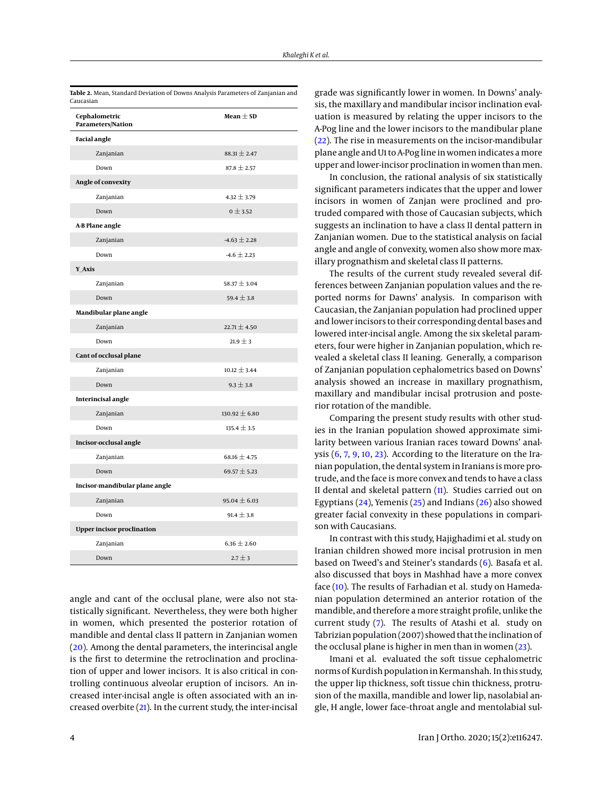<span id="page-3-0"></span>

| Table 2. Mean, Standard Deviation of Downs Analysis Parameters of Zanjanian and<br>Caucasian |                   |  |
|----------------------------------------------------------------------------------------------|-------------------|--|
| Cephalometric<br><b>Parameters/Nation</b>                                                    | Mean $\pm$ SD     |  |
| <b>Facial angle</b>                                                                          |                   |  |
| Zanjanian                                                                                    | $88.31 \pm 2.47$  |  |
| Down                                                                                         | $87.8 \pm 2.57$   |  |
| Angle of convexity                                                                           |                   |  |
| Zanjanian                                                                                    | $4.32 \pm 3.79$   |  |
| Down                                                                                         | $0 \pm 3.52$      |  |
| A-B Plane angle                                                                              |                   |  |
| Zanjanian                                                                                    | $-4.63 \pm 2.28$  |  |
| Down                                                                                         | $-4.6 \pm 2.23$   |  |
| Y Axis                                                                                       |                   |  |
| Zanjanian                                                                                    | $58.37 \pm 3.04$  |  |
| Down                                                                                         | 59.4 $\pm$ 3.8    |  |
| Mandibular plane angle                                                                       |                   |  |
| Zanjanian                                                                                    | 22.71 $\pm$ 4.50  |  |
| Down                                                                                         | $21.9 \pm 3$      |  |
| Cant of occlusal plane                                                                       |                   |  |
| Zanjanian                                                                                    | $10.12 \pm 3.44$  |  |
| Down                                                                                         | $9.3 \pm 3.8$     |  |
| <b>Interincisal angle</b>                                                                    |                   |  |
| Zanjanian                                                                                    | $130.92 \pm 6.80$ |  |
| Down                                                                                         | $135.4 \pm 3.5$   |  |
| Incisor-occlusal angle                                                                       |                   |  |
| Zanjanian                                                                                    | 68.16 $\pm$ 4.75  |  |
| Down                                                                                         | 69.57 $\pm$ 5.23  |  |
| Incisor-mandibular plane angle                                                               |                   |  |
| Zanjanian                                                                                    | 95.04 $\pm$ 6.03  |  |
| Down                                                                                         | $91.4 \pm 3.8$    |  |
| <b>Upper incisor proclination</b>                                                            |                   |  |
| Zanjanian                                                                                    | $6.36 \pm 2.60$   |  |
| Down                                                                                         | $2.7 + 3$         |  |

angle and cant of the occlusal plane, were also not statistically significant. Nevertheless, they were both higher in women, which presented the posterior rotation of mandible and dental class II pattern in Zanjanian women [\(20\)](#page-5-1). Among the dental parameters, the interincisal angle is the first to determine the retroclination and proclination of upper and lower incisors. It is also critical in controlling continuous alveolar eruption of incisors. An increased inter-incisal angle is often associated with an increased overbite [\(21\)](#page-5-2). In the current study, the inter-incisal

grade was significantly lower in women. In Downs' analysis, the maxillary and mandibular incisor inclination evaluation is measured by relating the upper incisors to the A-Pog line and the lower incisors to the mandibular plane [\(22\)](#page-5-3). The rise in measurements on the incisor-mandibular plane angle and U1 to A-Pog line in women indicates amore upper and lower-incisor proclination in women than men.

In conclusion, the rational analysis of six statistically significant parameters indicates that the upper and lower incisors in women of Zanjan were proclined and protruded compared with those of Caucasian subjects, which suggests an inclination to have a class II dental pattern in Zanjanian women. Due to the statistical analysis on facial angle and angle of convexity, women also show more maxillary prognathism and skeletal class II patterns.

The results of the current study revealed several differences between Zanjanian population values and the reported norms for Dawns' analysis. In comparison with Caucasian, the Zanjanian population had proclined upper and lower incisors to their corresponding dental bases and lowered inter-incisal angle. Among the six skeletal parameters, four were higher in Zanjanian population, which revealed a skeletal class II leaning. Generally, a comparison of Zanjanian population cephalometrics based on Downs' analysis showed an increase in maxillary prognathism, maxillary and mandibular incisal protrusion and posterior rotation of the mandible.

Comparing the present study results with other studies in the Iranian population showed approximate similarity between various Iranian races toward Downs' analysis  $(6, 7, 9, 10, 23)$  $(6, 7, 9, 10, 23)$  $(6, 7, 9, 10, 23)$  $(6, 7, 9, 10, 23)$  $(6, 7, 9, 10, 23)$  $(6, 7, 9, 10, 23)$  $(6, 7, 9, 10, 23)$  $(6, 7, 9, 10, 23)$  $(6, 7, 9, 10, 23)$ . According to the literature on the Iranian population, the dental system in Iranians is more protrude, and the face is more convex and tends to have a class II dental and skeletal pattern [\(11\)](#page-4-10). Studies carried out on Egyptians [\(24\)](#page-5-5), Yemenis [\(25\)](#page-5-6) and Indians [\(26\)](#page-5-7) also showed greater facial convexity in these populations in comparison with Caucasians.

In contrast with this study, Hajighadimi et al. study on Iranian children showed more incisal protrusion in men based on Tweed's and Steiner's standards [\(6\)](#page-4-5). Basafa et al. also discussed that boys in Mashhad have a more convex face [\(10\)](#page-4-9). The results of Farhadian et al. study on Hamedanian population determined an anterior rotation of the mandible, and therefore a more straight profile, unlike the current study [\(7\)](#page-4-6). The results of Atashi et al. study on Tabrizian population (2007) showed that the inclination of the occlusal plane is higher in men than in women [\(23\)](#page-5-4).

Imani et al. evaluated the soft tissue cephalometric norms of Kurdish population in Kermanshah. In this study, the upper lip thickness, soft tissue chin thickness, protrusion of the maxilla, mandible and lower lip, nasolabial angle, H angle, lower face–throat angle and mentolabial sul-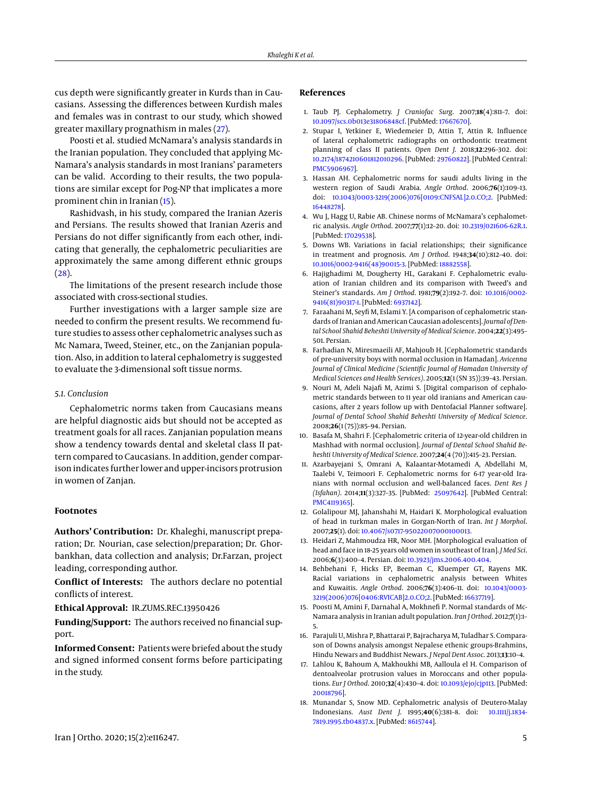cus depth were significantly greater in Kurds than in Caucasians. Assessing the differences between Kurdish males and females was in contrast to our study, which showed greater maxillary prognathism in males [\(27\)](#page-5-8).

Poosti et al. studied McNamara's analysis standards in the Iranian population. They concluded that applying Mc-Namara's analysis standards in most Iranians' parameters can be valid. According to their results, the two populations are similar except for Pog-NP that implicates a more prominent chin in Iranian [\(15\)](#page-4-13).

Rashidvash, in his study, compared the Iranian Azeris and Persians. The results showed that Iranian Azeris and Persians do not differ significantly from each other, indicating that generally, the cephalometric peculiarities are approximately the same among different ethnic groups [\(28\)](#page-5-9).

The limitations of the present research include those associated with cross-sectional studies.

Further investigations with a larger sample size are needed to confirm the present results. We recommend future studies to assess other cephalometric analyses such as Mc Namara, Tweed, Steiner, etc., on the Zanjanian population. Also, in addition to lateral cephalometry is suggested to evaluate the 3-dimensional soft tissue norms.

# *5.1. Conclusion*

Cephalometric norms taken from Caucasians means are helpful diagnostic aids but should not be accepted as treatment goals for all races. Zanjanian population means show a tendency towards dental and skeletal class II pattern compared to Caucasians. In addition, gender comparison indicates further lower and upper-incisors protrusion in women of Zanjan.

# **Footnotes**

**Authors' Contribution:** Dr. Khaleghi, manuscript preparation; Dr. Nourian, case selection/preparation; Dr. Ghorbankhan, data collection and analysis; Dr.Farzan, project leading, corresponding author.

**Conflict of Interests:** The authors declare no potential conflicts of interest.

## **Ethical Approval:** IR.ZUMS.REC.13950426

**Funding/Support:** The authors received no financial support.

**Informed Consent:** Patients were briefed about the study and signed informed consent forms before participating in the study.

# **References**

- <span id="page-4-0"></span>1. Taub PJ. Cephalometry. *J Craniofac Surg*. 2007;**18**(4):811–7. doi: [10.1097/scs.0b013e31806848cf.](http://dx.doi.org/10.1097/scs.0b013e31806848cf) [PubMed: [17667670\]](http://www.ncbi.nlm.nih.gov/pubmed/17667670).
- <span id="page-4-1"></span>2. Stupar I, Yetkiner E, Wiedemeier D, Attin T, Attin R. Influence of lateral cephalometric radiographs on orthodontic treatment planning of class II patients. *Open Dent J*. 2018;**12**:296–302. doi: [10.2174/1874210601812010296.](http://dx.doi.org/10.2174/1874210601812010296) [PubMed: [29760822\]](http://www.ncbi.nlm.nih.gov/pubmed/29760822). [PubMed Central: [PMC5906967\]](https://www.ncbi.nlm.nih.gov/pmc/articles/PMC5906967).
- <span id="page-4-2"></span>3. Hassan AH. Cephalometric norms for saudi adults living in the western region of Saudi Arabia. *Angle Orthod*. 2006;**76**(1):109–13. doi: [10.1043/0003-3219\(2006\)076\[0109:CNFSAL\]2.0.CO;2.](http://dx.doi.org/10.1043/0003-3219(2006)076[0109:CNFSAL]2.0.CO;2) [PubMed: [16448278\]](http://www.ncbi.nlm.nih.gov/pubmed/16448278).
- <span id="page-4-3"></span>4. Wu J, Hagg U, Rabie AB. Chinese norms of McNamara's cephalometric analysis. *Angle Orthod*. 2007;**77**(1):12–20. doi: [10.2319/021606-62R.1.](http://dx.doi.org/10.2319/021606-62R.1) [PubMed: [17029538\]](http://www.ncbi.nlm.nih.gov/pubmed/17029538).
- <span id="page-4-4"></span>5. Downs WB. Variations in facial relationships; their significance in treatment and prognosis. *Am J Orthod*. 1948;**34**(10):812–40. doi: [10.1016/0002-9416\(48\)90015-3.](http://dx.doi.org/10.1016/0002-9416(48)90015-3) [PubMed: [18882558\]](http://www.ncbi.nlm.nih.gov/pubmed/18882558).
- <span id="page-4-5"></span>6. Hajighadimi M, Dougherty HL, Garakani F. Cephalometric evaluation of Iranian children and its comparison with Tweed's and Steiner's standards. *Am J Orthod*. 1981;**79**(2):192–7. doi: [10.1016/0002-](http://dx.doi.org/10.1016/0002-9416(81)90317-1) [9416\(81\)90317-1.](http://dx.doi.org/10.1016/0002-9416(81)90317-1) [PubMed: [6937142\]](http://www.ncbi.nlm.nih.gov/pubmed/6937142).
- <span id="page-4-6"></span>7. Faraahani M, Seyfi M, Eslami Y. [A comparison of cephalometric standards of Iranian and American Caucasian adolescents]. *Journal of Dental School Shahid Beheshti University of Medical Science*. 2004;**22**(3):495– 501. Persian.
- <span id="page-4-7"></span>8. Farhadian N, Miresmaeili AF, Mahjoub H. [Cephalometric standards of pre-university boys with normal occlusion in Hamadan]. *Avicenna Journal of Clinical Medicine (Scientific Journal of Hamadan University of Medical Sciences and Health Services)*. 2005;**12**(1 (SN 35)):39–43. Persian.
- <span id="page-4-8"></span>9. Nouri M, Adeli Najafi M, Azimi S. [Digital comparison of cephalometric standards between to 11 year old iranians and American caucasions, after 2 years follow up with Dentofacial Planner software]. *Journal of Dental School Shahid Beheshti University of Medical Science*. 2008;**26**(1 (75)):85–94. Persian.
- <span id="page-4-9"></span>10. Basafa M, Shahri F. [Cephalometric criteria of 12-year-old children in Mashhad with normal occlusion]. *Journal of Dental School Shahid Beheshti University of Medical Science*. 2007;**24**(4 (70)):415–23. Persian.
- <span id="page-4-10"></span>11. Azarbayejani S, Omrani A, Kalaantar-Motamedi A, Abdellahi M, Taalebi V, Teimoori F. Cephalometric norms for 6-17 year-old Iranians with normal occlusion and well-balanced faces. *Dent Res J (Isfahan)*. 2014;**11**(3):327–35. [PubMed: [25097642\]](http://www.ncbi.nlm.nih.gov/pubmed/25097642). [PubMed Central: [PMC4119365\]](https://www.ncbi.nlm.nih.gov/pmc/articles/PMC4119365).
- <span id="page-4-11"></span>12. Golalipour MJ, Jahanshahi M, Haidari K. Morphological evaluation of head in turkman males in Gorgan-North of Iran. *Int J Morphol*. 2007;**25**(1). doi: [10.4067/s0717-95022007000100013.](http://dx.doi.org/10.4067/s0717-95022007000100013)
- 13. Heidari Z, Mahmoudza HR, Noor MH. [Morphological evaluation of head and face in 18-25 years old women in southeast of Iran]. *J Med Sci*. 2006;**6**(3):400–4. Persian. doi: [10.3923/jms.2006.400.404.](http://dx.doi.org/10.3923/jms.2006.400.404)
- <span id="page-4-12"></span>14. Behbehani F, Hicks EP, Beeman C, Kluemper GT, Rayens MK. Racial variations in cephalometric analysis between Whites and Kuwaitis. *Angle Orthod*. 2006;**76**(3):406–11. doi: [10.1043/0003-](http://dx.doi.org/10.1043/0003-3219(2006)076[0406:RVICAB]2.0.CO;2) [3219\(2006\)076\[0406:RVICAB\]2.0.CO;2.](http://dx.doi.org/10.1043/0003-3219(2006)076[0406:RVICAB]2.0.CO;2) [PubMed: [16637719\]](http://www.ncbi.nlm.nih.gov/pubmed/16637719).
- <span id="page-4-13"></span>15. Poosti M, Amini F, Darnahal A, Mokhnefi P. Normal standards of Mc-Namara analysis in Iranian adult population. *Iran J Orthod*. 2012;**7**(1):1– 5.
- <span id="page-4-14"></span>16. Parajuli U, Mishra P, Bhattarai P, Bajracharya M, Tuladhar S. Comparason of Downs analysis amongst Nepalese ethenic groups-Brahmins, Hindu Newars and Buddhist Newars. *J Nepal Dent Assoc*. 2013;**13**:10–4.
- <span id="page-4-15"></span>17. Lahlou K, Bahoum A, Makhoukhi MB, Aalloula el H. Comparison of dentoalveolar protrusion values in Moroccans and other populations. *Eur J Orthod*. 2010;**32**(4):430–4. doi: [10.1093/ejo/cjp113.](http://dx.doi.org/10.1093/ejo/cjp113) [PubMed: [20018796\]](http://www.ncbi.nlm.nih.gov/pubmed/20018796).
- <span id="page-4-16"></span>18. Munandar S, Snow MD. Cephalometric analysis of Deutero-Malay Indonesians. *Aust Dent J*. 1995;**40**(6):381–8. doi: [10.1111/j.1834-](http://dx.doi.org/10.1111/j.1834-7819.1995.tb04837.x) [7819.1995.tb04837.x.](http://dx.doi.org/10.1111/j.1834-7819.1995.tb04837.x) [PubMed: [8615744\]](http://www.ncbi.nlm.nih.gov/pubmed/8615744).

Iran J Ortho. 2020; 15(2):e116247. 5